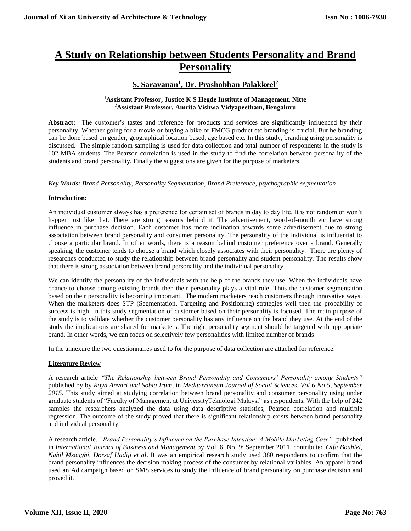# **A Study on Relationship between Students Personality and Brand Personality**

# **S. Saravanan<sup>1</sup> , Dr. Prashobhan Palakkeel<sup>2</sup>**

#### **<sup>1</sup>Assistant Professor, Justice K S Hegde Institute of Management, Nitte <sup>2</sup>Assistant Professor, Amrita Vishwa Vidyapeetham, Bengaluru**

Abstract: The customer's tastes and reference for products and services are significantly influenced by their personality. Whether going for a movie or buying a bike or FMCG product etc branding is crucial. But he branding can be done based on gender, geographical location based, age based etc. In this study, branding using personality is discussed. The simple random sampling is used for data collection and total number of respondents in the study is 102 MBA students. The Pearson correlation is used in the study to find the correlation between personality of the students and brand personality. Finally the suggestions are given for the purpose of marketers.

*Key Words: Brand Personality, Personality Segmentation, Brand Preference, psychographic segmentation*

#### **Introduction:**

An individual customer always has a preference for certain set of brands in day to day life. It is not random or won't happen just like that. There are strong reasons behind it. The advertisement, word-of-mouth etc have strong influence in purchase decision. Each customer has more inclination towards some advertisement due to strong association between brand personality and consumer personality. The personality of the individual is influential to choose a particular brand. In other words, there is a reason behind customer preference over a brand. Generally speaking, the customer tends to choose a brand which closely associates with their personality. There are plenty of researches conducted to study the relationship between brand personality and student personality. The results show that there is strong association between brand personality and the individual personality.

We can identify the personality of the individuals with the help of the brands they use. When the individuals have chance to choose among existing brands then their personality plays a vital role. Thus the customer segmentation based on their personality is becoming important. The modern marketers reach customers through innovative ways. When the marketers does STP (Segmentation, Targeting and Positioning) strategies well then the probability of success is high. In this study segmentation of customer based on their personality is focused. The main purpose of the study is to validate whether the customer personality has any influence on the brand they use. At the end of the study the implications are shared for marketers. The right personality segment should be targeted with appropriate brand. In other words, we can focus on selectively few personalities with limited number of brands

In the annexure the two questionnaires used to for the purpose of data collection are attached for reference.

#### **Literature Review**

A research article *"The Relationship between Brand Personality and Consumers' Personality among Students"* published by by *Roya Anvari and Sobia Irum*, in *Mediterranean Journal of Social Sciences, Vol 6 No 5, September 2015*. This study aimed at studying correlation between brand personality and consumer personality using under graduate students of "Faculty of Management at UniversityTeknologi Malaysi" as respondents. With the help of 242 samples the researchers analyzed the data using data descriptive statistics, Pearson correlation and multiple regression. The outcome of the study proved that there is significant relationship exists between brand personality and individual personality.

A research article*, "Brand Personality's Influence on the Purchase Intention: A Mobile Marketing Case",* published in *International Journal of Business and Management* by Vol. 6, No. 9; September 2011, contributed *Olfa Bouhlel, Nabil Mzoughi, Dorsaf Hadiji et al*. It was an empirical research study used 380 respondents to confirm that the brand personality influences the decision making process of the consumer by relational variables. An apparel brand used an Ad campaign based on SMS services to study the influence of brand personality on purchase decision and proved it.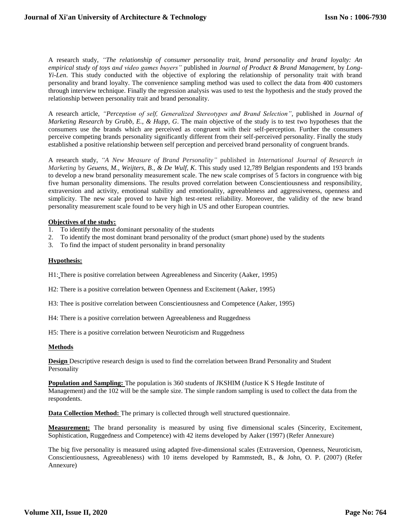A research study, *"The relationship of consumer personality trait, brand personality and brand loyalty: An empirical study of toys and video games buyers"* published in *Journal of Product & Brand Management,* by *Long-Yi-Len*. This study conducted with the objective of exploring the relationship of personality trait with brand personality and brand loyalty. The convenience sampling method was used to collect the data from 400 customers through interview technique. Finally the regression analysis was used to test the hypothesis and the study proved the relationship between personality trait and brand personality.

A research article, *"Perception of self, Generalized Stereotypes and Brand Selection"*, published in *Journal of Marketing Research* by *Grubb, E., & Hupp, G*. The main objective of the study is to test two hypotheses that the consumers use the brands which are perceived as congruent with their self-perception. Further the consumers perceive competing brands personality significantly different from their self-perceived personality. Finally the study established a positive relationship between self perception and perceived brand personality of congruent brands.

A research study, *"A New Measure of Brand Personality"* published in *International Journal of Research in Marketing* by *Geuens, M., Weijters, B., & De Wulf, K*. This study used 12,789 Belgian respondents and 193 brands to develop a new brand personality measurement scale. The new scale comprises of 5 factors in congruence with big five human personality dimensions. The results proved correlation between Conscientiousness and responsibility, extraversion and activity, emotional stability and emotionality, agreeableness and aggressiveness, openness and simplicity. The new scale proved to have high test-retest reliability. Moreover, the validity of the new brand personality measurement scale found to be very high in US and other European countries.

#### **Objectives of the study:**

- 1. To identify the most dominant personality of the students
- 2. To identify the most dominant brand personality of the product (smart phone) used by the students
- 3. To find the impact of student personality in brand personality

#### **Hypothesis:**

H1: There is positive correlation between Agreeableness and Sincerity (Aaker, 1995)

H2: There is a positive correlation between Openness and Excitement (Aaker, 1995)

H3: Thee is positive correlation between Conscientiousness and Competence (Aaker, 1995)

H4: There is a positive correlation between Agreeableness and Ruggedness

H5: There is a positive correlation between Neuroticism and Ruggedness

#### **Methods**

**Design** Descriptive research design is used to find the correlation between Brand Personality and Student Personality

**Population and Sampling:** The population is 360 students of JKSHIM (Justice K S Hegde Institute of Management) and the 102 will be the sample size. The simple random sampling is used to collect the data from the respondents.

**Data Collection Method:** The primary is collected through well structured questionnaire.

**Measurement:** The brand personality is measured by using five dimensional scales (Sincerity, Excitement, Sophistication, Ruggedness and Competence) with 42 items developed by Aaker (1997) (Refer Annexure)

The big five personality is measured using adapted five-dimensional scales (Extraversion, Openness, Neuroticism, Conscientiousness, Agreeableness) with 10 items developed by Rammstedt, B., & John, O. P. (2007) (Refer Annexure)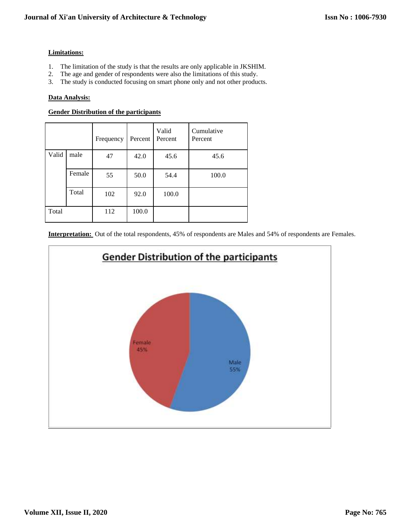#### **Limitations:**

- 1. The limitation of the study is that the results are only applicable in JKSHIM.
- 2. The age and gender of respondents were also the limitations of this study.
- 3. The study is conducted focusing on smart phone only and not other products.

#### **Data Analysis:**

#### **Gender Distribution of the participants**

|       |        | Frequency | Percent | Valid<br>Percent | Cumulative<br>Percent |
|-------|--------|-----------|---------|------------------|-----------------------|
| Valid | male   | 47        | 42.0    | 45.6             | 45.6                  |
|       | Female | 55        | 50.0    | 54.4             | 100.0                 |
|       | Total  | 102       | 92.0    | 100.0            |                       |
| Total |        | 112       | 100.0   |                  |                       |

**Interpretation:** Out of the total respondents, 45% of respondents are Males and 54% of respondents are Females.

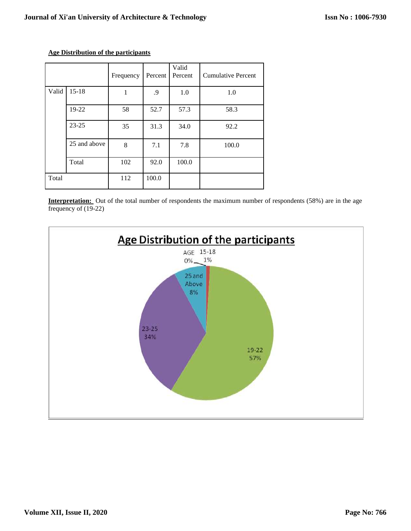|       |              | Frequency | Percent | Valid<br>Percent | <b>Cumulative Percent</b> |
|-------|--------------|-----------|---------|------------------|---------------------------|
| Valid | $15 - 18$    |           | .9      | 1.0              | 1.0                       |
|       | 19-22        | 58        | 52.7    | 57.3             | 58.3                      |
|       | $23 - 25$    | 35        | 31.3    | 34.0             | 92.2                      |
|       | 25 and above | 8         | 7.1     | 7.8              | 100.0                     |
|       | Total        | 102       | 92.0    | 100.0            |                           |
| Total |              | 112       | 100.0   |                  |                           |

### **Age Distribution of the participants**

**Interpretation:** Out of the total number of respondents the maximum number of respondents (58%) are in the age frequency of (19-22)

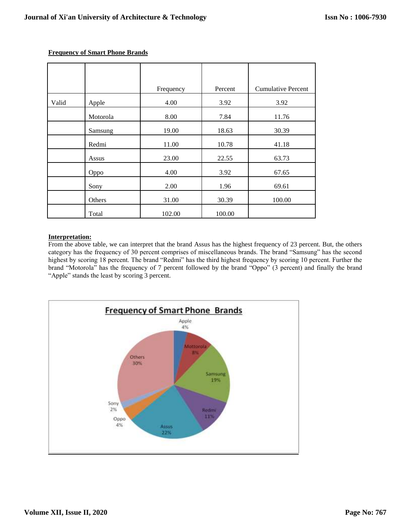|       |          | Frequency | Percent | <b>Cumulative Percent</b> |
|-------|----------|-----------|---------|---------------------------|
| Valid | Apple    | 4.00      | 3.92    | 3.92                      |
|       | Motorola | 8.00      | 7.84    | 11.76                     |
|       | Samsung  | 19.00     | 18.63   | 30.39                     |
|       | Redmi    | 11.00     | 10.78   | 41.18                     |
|       | Assus    | 23.00     | 22.55   | 63.73                     |
|       | Oppo     | 4.00      | 3.92    | 67.65                     |
|       | Sony     | 2.00      | 1.96    | 69.61                     |
|       | Others   | 31.00     | 30.39   | 100.00                    |
|       | Total    | 102.00    | 100.00  |                           |

#### **Frequency of Smart Phone Brands**

#### **Interpretation:**

From the above table, we can interpret that the brand Assus has the highest frequency of 23 percent. But, the others category has the frequency of 30 percent comprises of miscellaneous brands. The brand "Samsung" has the second highest by scoring 18 percent. The brand "Redmi" has the third highest frequency by scoring 10 percent. Further the brand "Motorola" has the frequency of 7 percent followed by the brand "Oppo" (3 percent) and finally the brand "Apple" stands the least by scoring 3 percent.

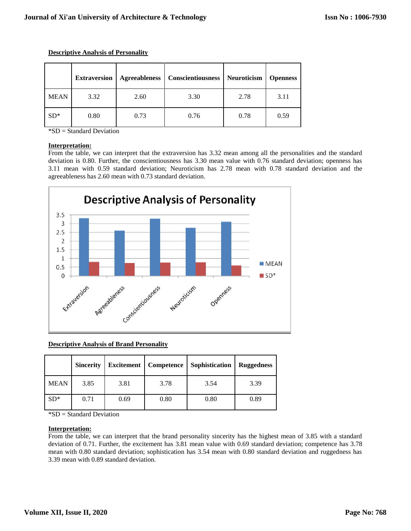|             | <b>Extraversion</b> | Agreeableness | <b>Conscientiousness</b> | Neuroticism | <b>Openness</b> |
|-------------|---------------------|---------------|--------------------------|-------------|-----------------|
| <b>MEAN</b> | 3.32                | 2.60          | 3.30                     | 2.78        | 3.11            |
| $SD^*$      | 0.80                | 0.73          | 0.76                     | 0.78        | 0.59            |

**Descriptive Analysis of Personality**

\*SD = Standard Deviation

#### **Interpretation:**

From the table, we can interpret that the extraversion has 3.32 mean among all the personalities and the standard deviation is 0.80. Further, the conscientiousness has 3.30 mean value with 0.76 standard deviation; openness has 3.11 mean with 0.59 standard deviation; Neuroticism has 2.78 mean with 0.78 standard deviation and the agreeableness has 2.60 mean with 0.73 standard deviation.



**Descriptive Analysis of Brand Personality** 

|             | <b>Sincerity</b> | <b>Excitement</b> | Competence | Sophistication | <b>Ruggedness</b> |
|-------------|------------------|-------------------|------------|----------------|-------------------|
| <b>MEAN</b> | 3.85             | 3.81              | 3.78       | 3.54           | 3.39              |
| $SD*$       | 0.71             | 0.69              | 0.80       | 0.80           | 0.89              |

\*SD = Standard Deviation

#### **Interpretation:**

From the table, we can interpret that the brand personality sincerity has the highest mean of 3.85 with a standard deviation of 0.71. Further, the excitement has 3.81 mean value with 0.69 standard deviation; competence has 3.78 mean with 0.80 standard deviation; sophistication has 3.54 mean with 0.80 standard deviation and ruggedness has 3.39 mean with 0.89 standard deviation.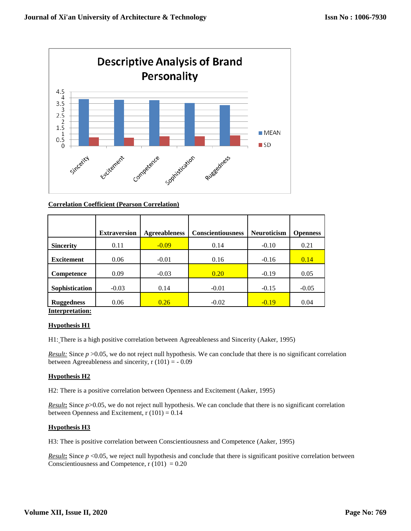

#### **Correlation Coefficient (Pearson Correlation)**

|                   | <b>Extraversion</b> | <b>Agreeableness</b> | <b>Conscientiousness</b> | <b>Neuroticism</b> | <b>Openness</b> |  |  |
|-------------------|---------------------|----------------------|--------------------------|--------------------|-----------------|--|--|
| <b>Sincerity</b>  | 0.11                | $-0.09$              | 0.14                     | $-0.10$            | 0.21            |  |  |
| <b>Excitement</b> | 0.06                | $-0.01$              | 0.16                     | $-0.16$            | 0.14            |  |  |
| Competence        | 0.09                | $-0.03$              | 0.20                     | $-0.19$            | 0.05            |  |  |
| Sophistication    | $-0.03$             | 0.14                 | $-0.01$                  | $-0.15$            | $-0.05$         |  |  |
| <b>Ruggedness</b> | 0.06                | 0.26                 | $-0.02$                  | $-0.19$            | 0.04            |  |  |
| Interpretation:   |                     |                      |                          |                    |                 |  |  |

#### **Hypothesis H1**

H1: There is a high positive correlation between Agreeableness and Sincerity (Aaker, 1995)

*Result:* Since  $p > 0.05$ , we do not reject null hypothesis. We can conclude that there is no significant correlation between Agreeableness and sincerity,  $r(101) = -0.09$ 

#### **Hypothesis H2**

H2: There is a positive correlation between Openness and Excitement (Aaker, 1995)

*Result***:** Since *p*>0.05, we do not reject null hypothesis. We can conclude that there is no significant correlation between Openness and Excitement,  $r(101) = 0.14$ 

#### **Hypothesis H3**

H3: Thee is positive correlation between Conscientiousness and Competence (Aaker, 1995)

*Result*: Since  $p \le 0.05$ , we reject null hypothesis and conclude that there is significant positive correlation between Conscientiousness and Competence,  $r(101) = 0.20$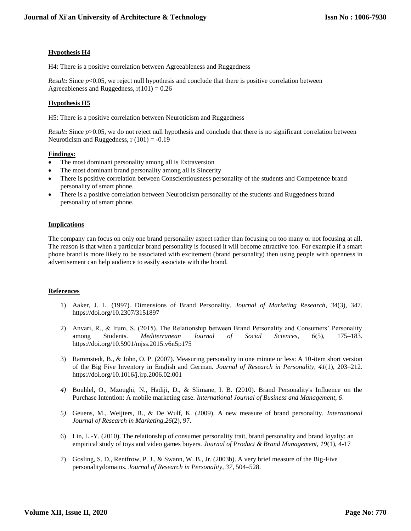#### **Hypothesis H4**

H4: There is a positive correlation between Agreeableness and Ruggedness

*Result***:** Since *p*<0.05, we reject null hypothesis and conclude that there is positive correlation between Agreeableness and Ruggedness,  $r(101) = 0.26$ 

### **Hypothesis H5**

H5: There is a positive correlation between Neuroticism and Ruggedness

*Result***:** Since *p*>0.05, we do not reject null hypothesis and conclude that there is no significant correlation between Neuroticism and Ruggedness,  $r(101) = -0.19$ 

#### **Findings:**

- The most dominant personality among all is Extraversion
- The most dominant brand personality among all is Sincerity
- There is positive correlation between Conscientiousness personality of the students and Competence brand personality of smart phone.
- There is a positive correlation between Neuroticism personality of the students and Ruggedness brand personality of smart phone.

#### **Implications**

The company can focus on only one brand personality aspect rather than focusing on too many or not focusing at all. The reason is that when a particular brand personality is focused it will become attractive too. For example if a smart phone brand is more likely to be associated with excitement (brand personality) then using people with openness in advertisement can help audience to easily associate with the brand.

#### **References**

- 1) Aaker, J. L. (1997). Dimensions of Brand Personality. *Journal of Marketing Research*, *34*(3), 347. https://doi.org/10.2307/3151897
- 2) Anvari, R., & Irum, S. (2015). The Relationship between Brand Personality and Consumers' Personality among Students. *Mediterranean Journal of Social Sciences*, *6*(5), 175–183. https://doi.org/10.5901/mjss.2015.v6n5p175
- 3) Rammstedt, B., & John, O. P. (2007). Measuring personality in one minute or less: A 10-item short version of the Big Five Inventory in English and German. *Journal of Research in Personality*, *41*(1), 203–212. https://doi.org/10.1016/j.jrp.2006.02.001
- *4)* Bouhlel, O., Mzoughi, N., Hadiji, D., & Slimane, I. B. (2010). Brand Personality's Influence on the Purchase Intention: A mobile marketing case. *International Journal of Business and Management, 6*.
- *5)* Geuens, M., Weijters, B., & De Wulf, K. (2009). A new measure of brand personality. *International Journal of Research in Marketing,26*(2), 97.
- 6) Lin, L.-Y. (2010). The relationship of consumer personality trait, brand personality and brand loyalty: an empirical study of toys and video games buyers. *Journal of Product & Brand Management, 19*(1), 4-17
- 7) Gosling, S. D., Rentfrow, P. J., & Swann, W. B., Jr. (2003b). A very brief measure of the Big-Five personalitydomains. *Journal of Research in Personality, 37*, 504–528.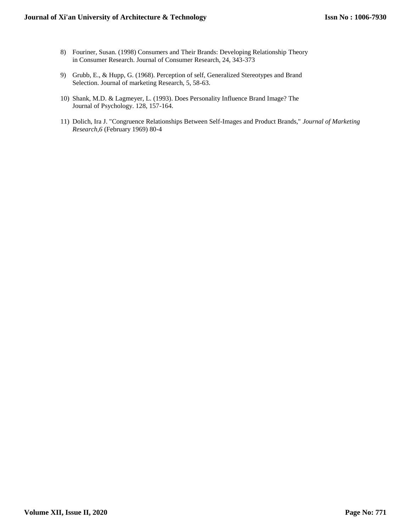### **Journal of Xi'an University of Architecture & Technology**

- 8) Fouriner, Susan. (1998) Consumers and Their Brands: Developing Relationship Theory in Consumer Research. Journal of Consumer Research, 24, 343-373
- 9) Grubb, E., & Hupp, G. (1968). Perception of self, Generalized Stereotypes and Brand Selection. Journal of marketing Research, 5, 58-63.
- 10) Shank, M.D. & Lagmeyer, L. (1993). Does Personality Influence Brand Image? The Journal of Psychology. 128, 157-164.
- 11) Dolich, Ira J. "Congruence Relationships Between Self-Images and Product Brands," *Journal of Marketing Research,6* (February 1969) 80-4